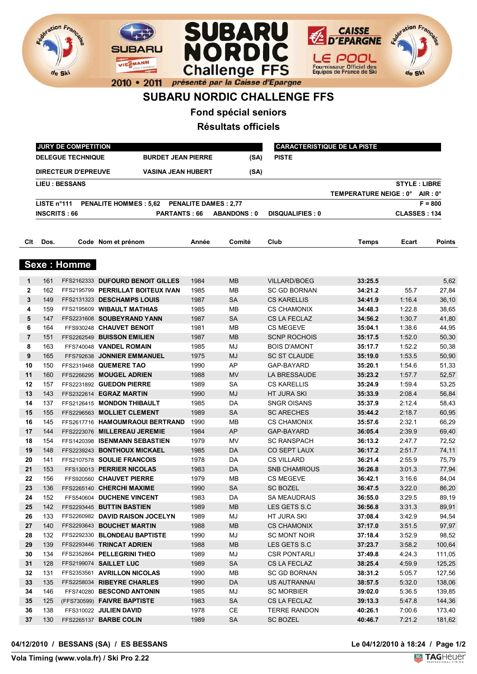



## **SUBARU NORDIC CHALLENGE FFS**

**Fond spécial seniors**

**Résultats officiels**

|              |                     | JURY DE COMPETITION        |                                              | <b>CARACTERISTIQUE DE LA PISTE</b> |                    |                        |                                 |        |                     |
|--------------|---------------------|----------------------------|----------------------------------------------|------------------------------------|--------------------|------------------------|---------------------------------|--------|---------------------|
|              |                     | <b>DELEGUE TECHNIQUE</b>   | <b>BURDET JEAN PIERRE</b>                    |                                    | (SA)               | <b>PISTE</b>           |                                 |        |                     |
|              |                     | <b>DIRECTEUR D'EPREUVE</b> | <b>VASINA JEAN HUBERT</b>                    |                                    | (SA)               |                        |                                 |        |                     |
|              |                     | <b>LIEU : BESSANS</b>      |                                              |                                    |                    |                        |                                 |        | <b>STYLE: LIBRE</b> |
|              |                     |                            |                                              |                                    |                    |                        | TEMPERATURE NEIGE : 0° AIR : 0° |        |                     |
|              | LISTE n°111         |                            | PENALITE HOMMES : 5,62 PENALITE DAMES : 2,77 |                                    |                    |                        |                                 |        | $F = 800$           |
|              | <b>INSCRITS: 66</b> |                            | <b>PARTANTS: 66</b>                          |                                    | <b>ABANDONS: 0</b> | <b>DISQUALIFIES: 0</b> |                                 |        | <b>CLASSES: 134</b> |
| Clt          | Dos.                |                            | Code Nom et prénom                           | Année                              | Comité             | Club                   | Temps                           | Ecart  | <b>Points</b>       |
|              |                     | <b>Sexe: Homme</b>         |                                              |                                    |                    |                        |                                 |        |                     |
| 1            | 161                 |                            | FFS2162333 DUFOURD BENOIT GILLES             | 1984                               | MВ                 | <b>VILLARD/BOEG</b>    | 33:25.5                         |        | 5,62                |
| $\mathbf{2}$ | 162                 |                            | FFS2195799 PERRILLAT BOITEUX IVAN            | 1985                               | MВ                 | <b>SC GD BORNAN</b>    | 34:21.2                         | 55.7   | 27,84               |
| 3            | 149                 |                            | FFS2131323 DESCHAMPS LOUIS                   | 1987                               | <b>SA</b>          | <b>CS KARELLIS</b>     | 34:41.9                         | 1:16.4 | 36,10               |
| 4            | 159                 |                            | FFS2195609 WIBAULT MATHIAS                   | 1985                               | MВ                 | <b>CS CHAMONIX</b>     | 34:48.3                         | 1:22.8 | 38,65               |
| 5            | 147                 |                            | FFS2231608 SOUBEYRAND YANN                   | 1987                               | <b>SA</b>          | CS LA FECLAZ           | 34:56.2                         | 1:30.7 | 41,80               |
| 6            | 164                 |                            | FFS930248 CHAUVET BENOIT                     | 1981                               | MВ                 | <b>CS MEGEVE</b>       | 35:04.1                         | 1:38.6 | 44,95               |
| 7            | 151                 |                            | FFS2262549 BUISSON EMILIEN                   | 1987                               | <b>MB</b>          | <b>SCNP ROCHOIS</b>    | 35:17.5                         | 1:52.0 | 50,30               |
| 8            | 163                 |                            | FFS740048 VANDEL ROMAIN                      | 1985                               | MJ                 | <b>BOIS D'AMONT</b>    | 35:17.7                         | 1:52.2 | 50,38               |
| 9            | 165                 |                            | FFS792638 JONNIER EMMANUEL                   | 1975                               | MJ                 | <b>SC ST CLAUDE</b>    | 35:19.0                         | 1:53.5 | 50,90               |
| 10           | 150                 |                            | FFS2319468 QUEMERE TAO                       | 1990                               | AP                 | GAP-BAYARD             | 35:20.1                         | 1:54.6 | 51,33               |
| 11           | 160                 |                            | FFS2266295 MOUGEL ADRIEN                     | 1988                               | <b>MV</b>          | LA BRESSAUDE           | 35:23.2                         | 1:57.7 | 52,57               |
| 12           | 157                 |                            | FFS2231892 GUEDON PIERRE                     | 1989                               | SА                 | <b>CS KARELLIS</b>     | 35:24.9                         | 1:59.4 | 53,25               |
| 13           | 143                 |                            | FFS2322614 EGRAZ MARTIN                      | 1990                               | MJ                 | HT JURA SKI            | 35:33.9                         | 2:08.4 | 56,84               |
| 14           | 137                 |                            | FFS2126415 MONDON THIBAULT                   | 1985                               | DA                 | SNGR OISANS            | 35:37.9                         | 2:12.4 | 58,43               |
| 15           | 155                 |                            | FFS2296563 MOLLIET CLEMENT                   | 1989                               | SA                 | <b>SC ARECHES</b>      | 35:44.2                         | 2:18.7 | 60,95               |
| 16           | 145                 |                            | FFS2617716 HAMOUMRAOUI BERTRAND              | 1990                               | MВ                 | <b>CS CHAMONIX</b>     | 35:57.6                         | 2:32.1 | 66,29               |
| 17           | 144                 |                            | FFS2223076 MILLEREAU JEREMIE                 | 1984                               | AP                 | GAP-BAYARD             | 36:05.4                         | 2:39.9 | 69,40               |
| 18           | 154                 |                            | FFS1420398 ISENMANN SEBASTIEN                | 1979                               | MV                 | <b>SC RANSPACH</b>     | 36:13.2                         | 2:47.7 | 72,52               |
| 19           | 148                 |                            | FFS2239243 BONTHOUX MICKAEL                  | 1985                               | DA                 | CO SEPT LAUX           | 36:17.2                         | 2:51.7 | 74,11               |
| 20           | 141                 |                            | FFS2107578 SOULIE FRANCOIS                   | 1978                               | DA                 | <b>CS VILLARD</b>      | 36:21.4                         | 2:55.9 | 75,79               |
| 21           | 153                 |                            | FFS130013 PERRIER NICOLAS                    | 1983                               | DA                 | <b>SNB CHAMROUS</b>    | 36:26.8                         | 3:01.3 | 77,94               |
| 22           | 156                 |                            | FFS920560 CHAUVET PIERRE                     | 1979                               | MВ                 | <b>CS MEGEVE</b>       | 36:42.1                         | 3:16.6 | 84,04               |
| 23           | 136                 |                            | FFS2265140 CHERCHI MAXIME                    | 1990                               | <b>SA</b>          | <b>SC BOZEL</b>        | 36:47.5                         | 3:22.0 | 86,20               |
| 24           | 152                 |                            | FFS540604 DUCHENE VINCENT                    | 1983                               | DA                 | SA MEAUDRAIS           | 36:55.0                         | 3:29.5 | 89,19               |
| 25           | 142                 |                            | FFS2293445 BUTTIN BASTIEN                    | 1989                               | <b>MB</b>          | LES GETS S.C           | 36:56.8                         | 3:31.3 | 89,91               |
| 26           | 133                 |                            | FFS2260982 DAVID RAISON JOCELYN              | 1989                               | MJ                 | HT JURA SKI            | 37:08.4                         | 3:42.9 | 94,54               |
| 27           | 140                 |                            | FFS2293643 BOUCHET MARTIN                    | 1988                               | <b>MB</b>          | <b>CS CHAMONIX</b>     | 37:17.0                         | 3:51.5 | 97,97               |
| 28           | 132                 |                            | FFS2292330 BLONDEAU BAPTISTE                 | 1990                               | MJ                 | <b>SC MONT NOIR</b>    | 37:18.4                         | 3:52.9 | 98,52               |
| 29           | 139                 |                            | FFS2293446 TRINCAT ADRIEN                    | 1988                               | <b>MB</b>          | LES GETS S.C           | 37:23.7                         | 3:58.2 | 100,64              |
| 30           | 134                 |                            | FFS2352864 PELLEGRINI THEO                   | 1989                               | MJ                 | <b>CSR PONTARLI</b>    | 37:49.8                         | 4:24.3 | 111,05              |
| 31           | 128                 |                            | FFS2199074 SAILLET LUC                       | 1989                               | <b>SA</b>          | CS LA FECLAZ           | 38:25.4                         | 4:59.9 | 125,25              |
| 32           | 131                 |                            | FFS2353561 AVRILLON NICOLAS                  | 1990                               | MВ                 | <b>SC GD BORNAN</b>    | 38:31.2                         | 5:05.7 | 127,56              |
| 33           | 135                 |                            | FFS2258034 RIBEYRE CHARLES                   | 1990                               | DA                 | US AUTRANNAI           | 38:57.5                         | 5:32.0 | 138,06              |
| 34           | 146                 |                            | FFS740280 BESCOND ANTONIN                    | 1985                               | MJ                 | <b>SC MORBIER</b>      | 39:02.0                         | 5:36.5 | 139,85              |
| 35           | 125                 |                            | (FFS730599) FAIVRE BAPTISTE                  | 1983                               | <b>SA</b>          | CS LA FECLAZ           | 39:13.3                         | 5:47.8 | 144,36              |
| 36           | 138                 |                            | FFS310022 JULIEN DAVID                       | 1978                               | CE                 | <b>TERRE RANDON</b>    | 40:26.1                         | 7:00.6 | 173,40              |
| 37           | 130                 |                            | FFS2265137 BARBE COLIN                       | 1989                               | <b>SA</b>          | <b>SC BOZEL</b>        | 40:46.7                         | 7:21.2 | 181,62              |

Le 04/12/2010 à 18:24 / Page 1/2<br> **Valoriste Control de la TAGHeuer** 



**Elization Francis** 

de Ski

**SUBARU** 

VIESMANN